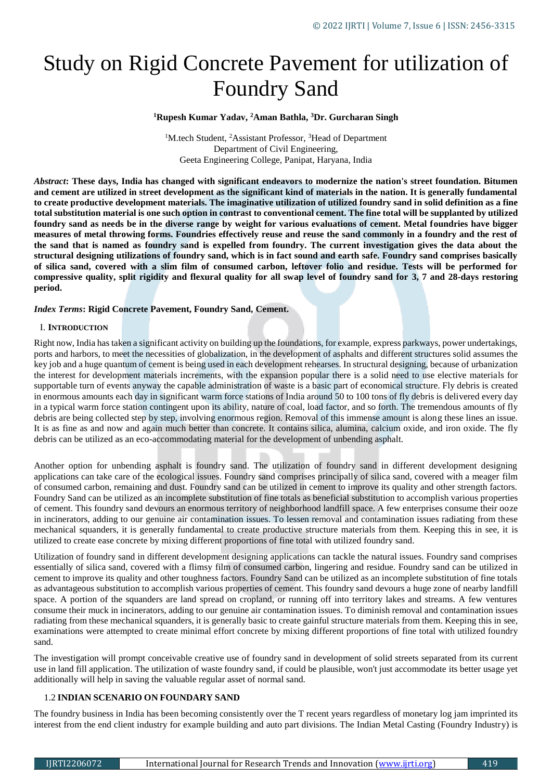# Study on Rigid Concrete Pavement for utilization of Foundry Sand

**<sup>1</sup>Rupesh Kumar Yadav, <sup>2</sup>Aman Bathla, <sup>3</sup>Dr. Gurcharan Singh** 

<sup>1</sup>M.tech Student, <sup>2</sup>Assistant Professor, <sup>3</sup>Head of Department Department of Civil Engineering, Geeta Engineering College, Panipat, Haryana, India

*Abstract***: These days, India has changed with significant endeavors to modernize the nation's street foundation. Bitumen and cement are utilized in street development as the significant kind of materials in the nation. It is generally fundamental to create productive development materials. The imaginative utilization of utilized foundry sand in solid definition as a fine total substitution material is one such option in contrast to conventional cement. The fine total will be supplanted by utilized foundry sand as needs be in the diverse range by weight for various evaluations of cement. Metal foundries have bigger measures of metal throwing forms. Foundries effectively reuse and reuse the sand commonly in a foundry and the rest of the sand that is named as foundry sand is expelled from foundry. The current investigation gives the data about the structural designing utilizations of foundry sand, which is in fact sound and earth safe. Foundry sand comprises basically of silica sand, covered with a slim film of consumed carbon, leftover folio and residue. Tests will be performed for compressive quality, split rigidity and flexural quality for all swap level of foundry sand for 3, 7 and 28-days restoring period.**

# *Index Terms***: Rigid Concrete Pavement, Foundry Sand, Cement.**

#### I. **INTRODUCTION**

Right now, India has taken a significant activity on building up the foundations, for example, express parkways, power undertakings, ports and harbors, to meet the necessities of globalization, in the development of asphalts and different structures solid assumes the key job and a huge quantum of cement is being used in each development rehearses. In structural designing, because of urbanization the interest for development materials increments, with the expansion popular there is a solid need to use elective materials for supportable turn of events anyway the capable administration of waste is a basic part of economical structure. Fly debris is created in enormous amounts each day in significant warm force stations of India around 50 to 100 tons of fly debris is delivered every day in a typical warm force station contingent upon its ability, nature of coal, load factor, and so forth. The tremendous amounts of fly debris are being collected step by step, involving enormous region. Removal of this immense amount is along these lines an issue. It is as fine as and now and again much better than concrete. It contains silica, alumina, calcium oxide, and iron oxide. The fly debris can be utilized as an eco-accommodating material for the development of unbending asphalt.

Another option for unbending asphalt is foundry sand. The utilization of foundry sand in different development designing applications can take care of the ecological issues. Foundry sand comprises principally of silica sand, covered with a meager film of consumed carbon, remaining and dust. Foundry sand can be utilized in cement to improve its quality and other strength factors. Foundry Sand can be utilized as an incomplete substitution of fine totals as beneficial substitution to accomplish various properties of cement. This foundry sand devours an enormous territory of neighborhood landfill space. A few enterprises consume their ooze in incinerators, adding to our genuine air contamination issues. To lessen removal and contamination issues radiating from these mechanical squanders, it is generally fundamental to create productive structure materials from them. Keeping this in see, it is utilized to create ease concrete by mixing different proportions of fine total with utilized foundry sand.

Utilization of foundry sand in different development designing applications can tackle the natural issues. Foundry sand comprises essentially of silica sand, covered with a flimsy film of consumed carbon, lingering and residue. Foundry sand can be utilized in cement to improve its quality and other toughness factors. Foundry Sand can be utilized as an incomplete substitution of fine totals as advantageous substitution to accomplish various properties of cement. This foundry sand devours a huge zone of nearby landfill space. A portion of the squanders are land spread on cropland, or running off into territory lakes and streams. A few ventures consume their muck in incinerators, adding to our genuine air contamination issues. To diminish removal and contamination issues radiating from these mechanical squanders, it is generally basic to create gainful structure materials from them. Keeping this in see, examinations were attempted to create minimal effort concrete by mixing different proportions of fine total with utilized foundry sand.

The investigation will prompt conceivable creative use of foundry sand in development of solid streets separated from its current use in land fill application. The utilization of waste foundry sand, if could be plausible, won't just accommodate its better usage yet additionally will help in saving the valuable regular asset of normal sand.

# 1.2 **INDIAN SCENARIO ON FOUNDARY SAND**

The foundry business in India has been becoming consistently over the T recent years regardless of monetary log jam imprinted its interest from the end client industry for example building and auto part divisions. The Indian Metal Casting (Foundry Industry) is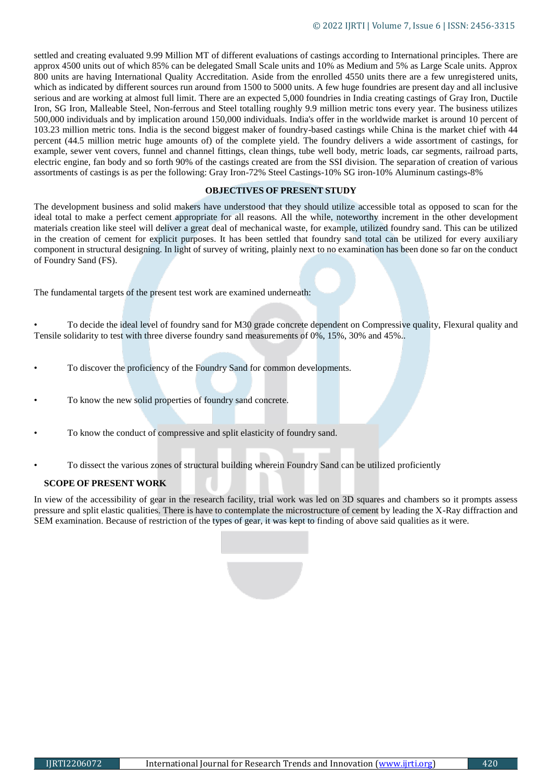settled and creating evaluated 9.99 Million MT of different evaluations of castings according to International principles. There are approx 4500 units out of which 85% can be delegated Small Scale units and 10% as Medium and 5% as Large Scale units. Approx 800 units are having International Quality Accreditation. Aside from the enrolled 4550 units there are a few unregistered units, which as indicated by different sources run around from 1500 to 5000 units. A few huge foundries are present day and all inclusive serious and are working at almost full limit. There are an expected 5,000 foundries in India creating castings of Gray Iron, Ductile Iron, SG Iron, Malleable Steel, Non-ferrous and Steel totalling roughly 9.9 million metric tons every year. The business utilizes 500,000 individuals and by implication around 150,000 individuals. India's offer in the worldwide market is around 10 percent of 103.23 million metric tons. India is the second biggest maker of foundry-based castings while China is the market chief with 44 percent (44.5 million metric huge amounts of) of the complete yield. The foundry delivers a wide assortment of castings, for example, sewer vent covers, funnel and channel fittings, clean things, tube well body, metric loads, car segments, railroad parts, electric engine, fan body and so forth 90% of the castings created are from the SSI division. The separation of creation of various assortments of castings is as per the following: Gray Iron-72% Steel Castings-10% SG iron-10% Aluminum castings-8%

# **OBJECTIVES OF PRESENT STUDY**

The development business and solid makers have understood that they should utilize accessible total as opposed to scan for the ideal total to make a perfect cement appropriate for all reasons. All the while, noteworthy increment in the other development materials creation like steel will deliver a great deal of mechanical waste, for example, utilized foundry sand. This can be utilized in the creation of cement for explicit purposes. It has been settled that foundry sand total can be utilized for every auxiliary component in structural designing. In light of survey of writing, plainly next to no examination has been done so far on the conduct of Foundry Sand (FS).

The fundamental targets of the present test work are examined underneath:

• To decide the ideal level of foundry sand for M30 grade concrete dependent on Compressive quality, Flexural quality and Tensile solidarity to test with three diverse foundry sand measurements of 0%, 15%, 30% and 45%..

- To discover the proficiency of the Foundry Sand for common developments.
- To know the new solid properties of foundry sand concrete.
- To know the conduct of compressive and split elasticity of foundry sand.
- To dissect the various zones of structural building wherein Foundry Sand can be utilized proficiently

# **SCOPE OF PRESENT WORK**

In view of the accessibility of gear in the research facility, trial work was led on 3D squares and chambers so it prompts assess pressure and split elastic qualities. There is have to contemplate the microstructure of cement by leading the X-Ray diffraction and SEM examination. Because of restriction of the types of gear, it was kept to finding of above said qualities as it were.

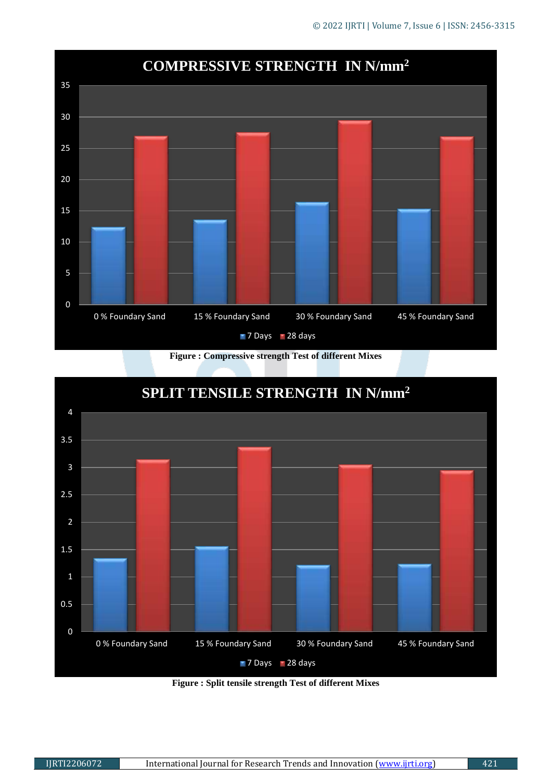

**Figure : Compressive strength Test of different Mixes**



**Figure : Split tensile strength Test of different Mixes**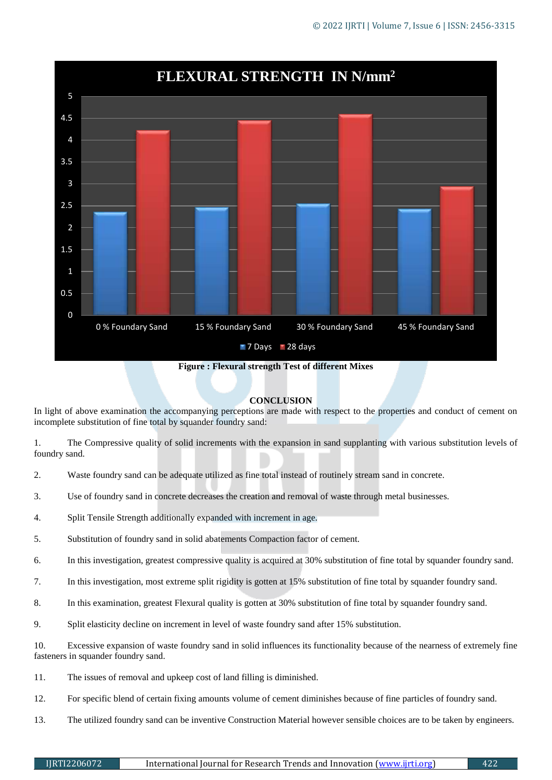

**Figure : Flexural strength Test of different Mixes**

# **CONCLUSION**

In light of above examination the accompanying perceptions are made with respect to the properties and conduct of cement on incomplete substitution of fine total by squander foundry sand:

1. The Compressive quality of solid increments with the expansion in sand supplanting with various substitution levels of foundry sand.

- 2. Waste foundry sand can be adequate utilized as fine total instead of routinely stream sand in concrete.
- 3. Use of foundry sand in concrete decreases the creation and removal of waste through metal businesses.
- 4. Split Tensile Strength additionally expanded with increment in age.
- 5. Substitution of foundry sand in solid abatements Compaction factor of cement.
- 6. In this investigation, greatest compressive quality is acquired at 30% substitution of fine total by squander foundry sand.
- 7. In this investigation, most extreme split rigidity is gotten at 15% substitution of fine total by squander foundry sand.
- 8. In this examination, greatest Flexural quality is gotten at 30% substitution of fine total by squander foundry sand.
- 9. Split elasticity decline on increment in level of waste foundry sand after 15% substitution.

10. Excessive expansion of waste foundry sand in solid influences its functionality because of the nearness of extremely fine fasteners in squander foundry sand.

- 11. The issues of removal and upkeep cost of land filling is diminished.
- 12. For specific blend of certain fixing amounts volume of cement diminishes because of fine particles of foundry sand.
- 13. The utilized foundry sand can be inventive Construction Material however sensible choices are to be taken by engineers.